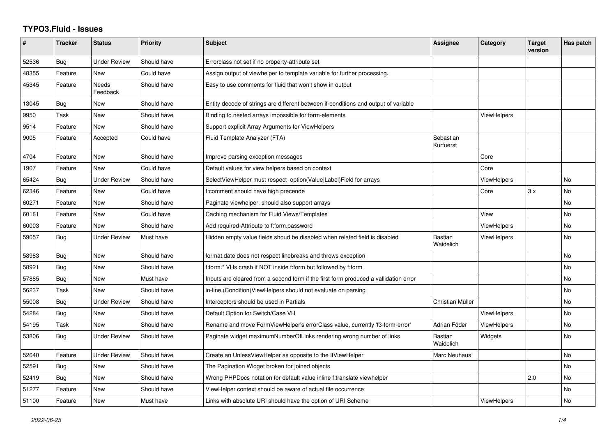## **TYPO3.Fluid - Issues**

| $\sharp$ | <b>Tracker</b> | <b>Status</b>       | <b>Priority</b> | <b>Subject</b>                                                                       | Assignee               | Category           | <b>Target</b><br>version | Has patch |
|----------|----------------|---------------------|-----------------|--------------------------------------------------------------------------------------|------------------------|--------------------|--------------------------|-----------|
| 52536    | Bug            | Under Review        | Should have     | Errorclass not set if no property-attribute set                                      |                        |                    |                          |           |
| 48355    | Feature        | <b>New</b>          | Could have      | Assign output of viewhelper to template variable for further processing.             |                        |                    |                          |           |
| 45345    | Feature        | Needs<br>Feedback   | Should have     | Easy to use comments for fluid that won't show in output                             |                        |                    |                          |           |
| 13045    | Bug            | New                 | Should have     | Entity decode of strings are different between if-conditions and output of variable  |                        |                    |                          |           |
| 9950     | Task           | New                 | Should have     | Binding to nested arrays impossible for form-elements                                |                        | <b>ViewHelpers</b> |                          |           |
| 9514     | Feature        | <b>New</b>          | Should have     | Support explicit Array Arguments for ViewHelpers                                     |                        |                    |                          |           |
| 9005     | Feature        | Accepted            | Could have      | Fluid Template Analyzer (FTA)                                                        | Sebastian<br>Kurfuerst |                    |                          |           |
| 4704     | Feature        | New                 | Should have     | Improve parsing exception messages                                                   |                        | Core               |                          |           |
| 1907     | Feature        | New                 | Could have      | Default values for view helpers based on context                                     |                        | Core               |                          |           |
| 65424    | Bug            | <b>Under Review</b> | Should have     | SelectViewHelper must respect option(Value Label)Field for arrays                    |                        | <b>ViewHelpers</b> |                          | No        |
| 62346    | Feature        | New                 | Could have      | f:comment should have high precende                                                  |                        | Core               | 3.x                      | No        |
| 60271    | Feature        | New                 | Should have     | Paginate viewhelper, should also support arrays                                      |                        |                    |                          | No        |
| 60181    | Feature        | New                 | Could have      | Caching mechanism for Fluid Views/Templates                                          |                        | View               |                          | No        |
| 60003    | Feature        | New                 | Should have     | Add required-Attribute to f:form.password                                            |                        | <b>ViewHelpers</b> |                          | No        |
| 59057    | Bug            | Under Review        | Must have       | Hidden empty value fields shoud be disabled when related field is disabled           | Bastian<br>Waidelich   | ViewHelpers        |                          | No        |
| 58983    | <b>Bug</b>     | New                 | Should have     | format.date does not respect linebreaks and throws exception                         |                        |                    |                          | <b>No</b> |
| 58921    | Bug            | New                 | Should have     | f:form.* VHs crash if NOT inside f:form but followed by f:form                       |                        |                    |                          | <b>No</b> |
| 57885    | Bug            | <b>New</b>          | Must have       | Inputs are cleared from a second form if the first form produced a vallidation error |                        |                    |                          | No        |
| 56237    | Task           | New                 | Should have     | in-line (Condition) View Helpers should not evaluate on parsing                      |                        |                    |                          | <b>No</b> |
| 55008    | Bug            | Under Review        | Should have     | Interceptors should be used in Partials                                              | Christian Müller       |                    |                          | No        |
| 54284    | <b>Bug</b>     | New                 | Should have     | Default Option for Switch/Case VH                                                    |                        | <b>ViewHelpers</b> |                          | No.       |
| 54195    | Task           | New                 | Should have     | Rename and move FormViewHelper's errorClass value, currently 'f3-form-error'         | Adrian Föder           | <b>ViewHelpers</b> |                          | <b>No</b> |
| 53806    | Bug            | Under Review        | Should have     | Paginate widget maximumNumberOfLinks rendering wrong number of links                 | Bastian<br>Waidelich   | Widgets            |                          | No        |
| 52640    | Feature        | Under Review        | Should have     | Create an UnlessViewHelper as opposite to the IfViewHelper                           | Marc Neuhaus           |                    |                          | No        |
| 52591    | <b>Bug</b>     | New                 | Should have     | The Pagination Widget broken for joined objects                                      |                        |                    |                          | <b>No</b> |
| 52419    | Bug            | New                 | Should have     | Wrong PHPDocs notation for default value inline f:translate viewhelper               |                        |                    | 2.0                      | No        |
| 51277    | Feature        | New                 | Should have     | ViewHelper context should be aware of actual file occurrence                         |                        |                    |                          | No        |
| 51100    | Feature        | <b>New</b>          | Must have       | Links with absolute URI should have the option of URI Scheme                         |                        | <b>ViewHelpers</b> |                          | No        |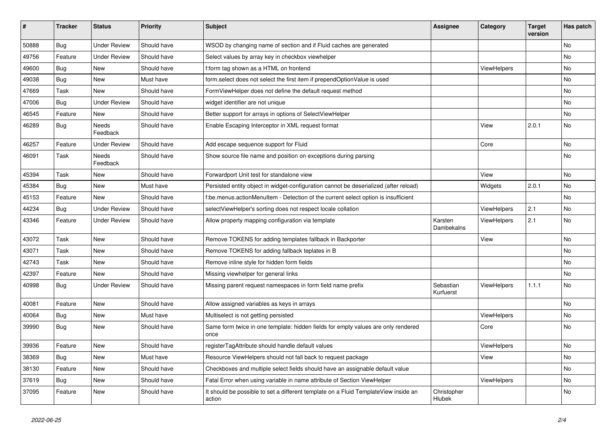| ∦     | <b>Tracker</b> | <b>Status</b>            | <b>Priority</b> | Subject                                                                                       | Assignee               | Category    | <b>Target</b><br>version | Has patch |
|-------|----------------|--------------------------|-----------------|-----------------------------------------------------------------------------------------------|------------------------|-------------|--------------------------|-----------|
| 50888 | Bug            | <b>Under Review</b>      | Should have     | WSOD by changing name of section and if Fluid caches are generated                            |                        |             |                          | No        |
| 49756 | Feature        | Under Review             | Should have     | Select values by array key in checkbox viewhelper                                             |                        |             |                          | No        |
| 49600 | <b>Bug</b>     | New                      | Should have     | f:form tag shown as a HTML on frontend                                                        |                        | ViewHelpers |                          | No        |
| 49038 | Bug            | New                      | Must have       | form.select does not select the first item if prependOptionValue is used                      |                        |             |                          | No        |
| 47669 | Task           | New                      | Should have     | FormViewHelper does not define the default request method                                     |                        |             |                          | No        |
| 47006 | Bug            | <b>Under Review</b>      | Should have     | widget identifier are not unique                                                              |                        |             |                          | No        |
| 46545 | Feature        | New                      | Should have     | Better support for arrays in options of SelectViewHelper                                      |                        |             |                          | No        |
| 46289 | <b>Bug</b>     | Needs<br>Feedback        | Should have     | Enable Escaping Interceptor in XML request format                                             |                        | View        | 2.0.1                    | No        |
| 46257 | Feature        | Under Review             | Should have     | Add escape sequence support for Fluid                                                         |                        | Core        |                          | No        |
| 46091 | Task           | <b>Needs</b><br>Feedback | Should have     | Show source file name and position on exceptions during parsing                               |                        |             |                          | No        |
| 45394 | Task           | New                      | Should have     | Forwardport Unit test for standalone view                                                     |                        | View        |                          | No        |
| 45384 | <b>Bug</b>     | <b>New</b>               | Must have       | Persisted entity object in widget-configuration cannot be deserialized (after reload)         |                        | Widgets     | 2.0.1                    | <b>No</b> |
| 45153 | Feature        | New                      | Should have     | f:be.menus.actionMenuItem - Detection of the current select option is insufficient            |                        |             |                          | No        |
| 44234 | <b>Bug</b>     | <b>Under Review</b>      | Should have     | selectViewHelper's sorting does not respect locale collation                                  |                        | ViewHelpers | 2.1                      | No        |
| 43346 | Feature        | <b>Under Review</b>      | Should have     | Allow property mapping configuration via template                                             | Karsten<br>Dambekalns  | ViewHelpers | 2.1                      | No        |
| 43072 | Task           | New                      | Should have     | Remove TOKENS for adding templates fallback in Backporter                                     |                        | View        |                          | No        |
| 43071 | Task           | New                      | Should have     | Remove TOKENS for adding fallback teplates in B                                               |                        |             |                          | No        |
| 42743 | Task           | New                      | Should have     | Remove inline style for hidden form fields                                                    |                        |             |                          | No        |
| 42397 | Feature        | New                      | Should have     | Missing viewhelper for general links                                                          |                        |             |                          | No        |
| 40998 | <b>Bug</b>     | <b>Under Review</b>      | Should have     | Missing parent request namespaces in form field name prefix                                   | Sebastian<br>Kurfuerst | ViewHelpers | 1.1.1                    | No        |
| 40081 | Feature        | New                      | Should have     | Allow assigned variables as keys in arrays                                                    |                        |             |                          | No        |
| 40064 | <b>Bug</b>     | New                      | Must have       | Multiselect is not getting persisted                                                          |                        | ViewHelpers |                          | No        |
| 39990 | <b>Bug</b>     | New                      | Should have     | Same form twice in one template: hidden fields for empty values are only rendered<br>once     |                        | Core        |                          | No        |
| 39936 | Feature        | New                      | Should have     | registerTagAttribute should handle default values                                             |                        | ViewHelpers |                          | No        |
| 38369 | Bug            | New                      | Must have       | Resource ViewHelpers should not fall back to request package                                  |                        | View        |                          | No        |
| 38130 | Feature        | New                      | Should have     | Checkboxes and multiple select fields should have an assignable default value                 |                        |             |                          | No        |
| 37619 | Bug            | New                      | Should have     | Fatal Error when using variable in name attribute of Section ViewHelper                       |                        | ViewHelpers |                          | No        |
| 37095 | Feature        | New                      | Should have     | It should be possible to set a different template on a Fluid TemplateView inside an<br>action | Christopher<br>Hlubek  |             |                          | No        |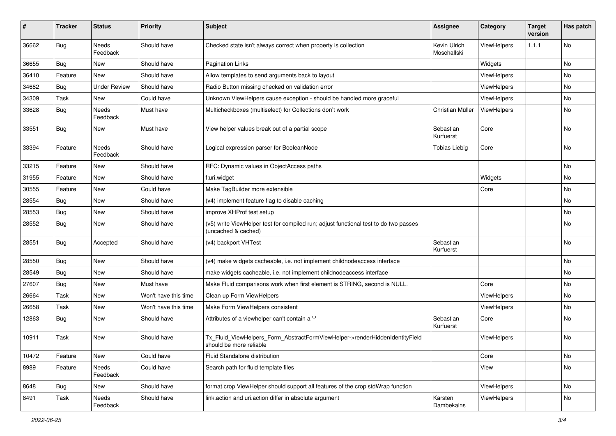| #     | <b>Tracker</b> | <b>Status</b>            | <b>Priority</b>      | <b>Subject</b>                                                                                              | <b>Assignee</b>             | Category           | <b>Target</b><br>version | Has patch |
|-------|----------------|--------------------------|----------------------|-------------------------------------------------------------------------------------------------------------|-----------------------------|--------------------|--------------------------|-----------|
| 36662 | Bug            | <b>Needs</b><br>Feedback | Should have          | Checked state isn't always correct when property is collection                                              | Kevin Ulrich<br>Moschallski | ViewHelpers        | 1.1.1                    | No        |
| 36655 | Bug            | New                      | Should have          | <b>Pagination Links</b>                                                                                     |                             | Widgets            |                          | No        |
| 36410 | Feature        | <b>New</b>               | Should have          | Allow templates to send arguments back to layout                                                            |                             | ViewHelpers        |                          | No        |
| 34682 | Bug            | <b>Under Review</b>      | Should have          | Radio Button missing checked on validation error                                                            |                             | <b>ViewHelpers</b> |                          | No        |
| 34309 | Task           | New                      | Could have           | Unknown ViewHelpers cause exception - should be handled more graceful                                       |                             | ViewHelpers        |                          | No        |
| 33628 | Bug            | Needs<br>Feedback        | Must have            | Multicheckboxes (multiselect) for Collections don't work                                                    | Christian Müller            | ViewHelpers        |                          | No        |
| 33551 | <b>Bug</b>     | New                      | Must have            | View helper values break out of a partial scope                                                             | Sebastian<br>Kurfuerst      | Core               |                          | No        |
| 33394 | Feature        | Needs<br>Feedback        | Should have          | Logical expression parser for BooleanNode                                                                   | <b>Tobias Liebig</b>        | Core               |                          | No        |
| 33215 | Feature        | New                      | Should have          | RFC: Dynamic values in ObjectAccess paths                                                                   |                             |                    |                          | No        |
| 31955 | Feature        | New                      | Should have          | f:uri.widget                                                                                                |                             | Widgets            |                          | No        |
| 30555 | Feature        | New                      | Could have           | Make TagBuilder more extensible                                                                             |                             | Core               |                          | No        |
| 28554 | Bug            | New                      | Should have          | (v4) implement feature flag to disable caching                                                              |                             |                    |                          | No        |
| 28553 | Bug            | New                      | Should have          | improve XHProf test setup                                                                                   |                             |                    |                          | No        |
| 28552 | Bug            | New                      | Should have          | (v5) write ViewHelper test for compiled run; adjust functional test to do two passes<br>(uncached & cached) |                             |                    |                          | No        |
| 28551 | Bug            | Accepted                 | Should have          | (v4) backport VHTest                                                                                        | Sebastian<br>Kurfuerst      |                    |                          | No        |
| 28550 | Bug            | New                      | Should have          | (v4) make widgets cacheable, i.e. not implement childnodeaccess interface                                   |                             |                    |                          | No        |
| 28549 | Bug            | New                      | Should have          | make widgets cacheable, i.e. not implement childnodeaccess interface                                        |                             |                    |                          | No        |
| 27607 | Bug            | New                      | Must have            | Make Fluid comparisons work when first element is STRING, second is NULL.                                   |                             | Core               |                          | No        |
| 26664 | Task           | New                      | Won't have this time | Clean up Form ViewHelpers                                                                                   |                             | ViewHelpers        |                          | No        |
| 26658 | Task           | New                      | Won't have this time | Make Form ViewHelpers consistent                                                                            |                             | ViewHelpers        |                          | No        |
| 12863 | <b>Bug</b>     | New                      | Should have          | Attributes of a viewhelper can't contain a '-'                                                              | Sebastian<br>Kurfuerst      | Core               |                          | No        |
| 10911 | Task           | New                      | Should have          | Tx_Fluid_ViewHelpers_Form_AbstractFormViewHelper->renderHiddenIdentityField<br>should be more reliable      |                             | ViewHelpers        |                          | No        |
| 10472 | Feature        | New                      | Could have           | Fluid Standalone distribution                                                                               |                             | Core               |                          | No        |
| 8989  | Feature        | Needs<br>Feedback        | Could have           | Search path for fluid template files                                                                        |                             | View               |                          | No        |
| 8648  | <b>Bug</b>     | New                      | Should have          | format.crop ViewHelper should support all features of the crop stdWrap function                             |                             | ViewHelpers        |                          | No        |
| 8491  | Task           | Needs<br>Feedback        | Should have          | link.action and uri.action differ in absolute argument                                                      | Karsten<br>Dambekalns       | ViewHelpers        |                          | No        |